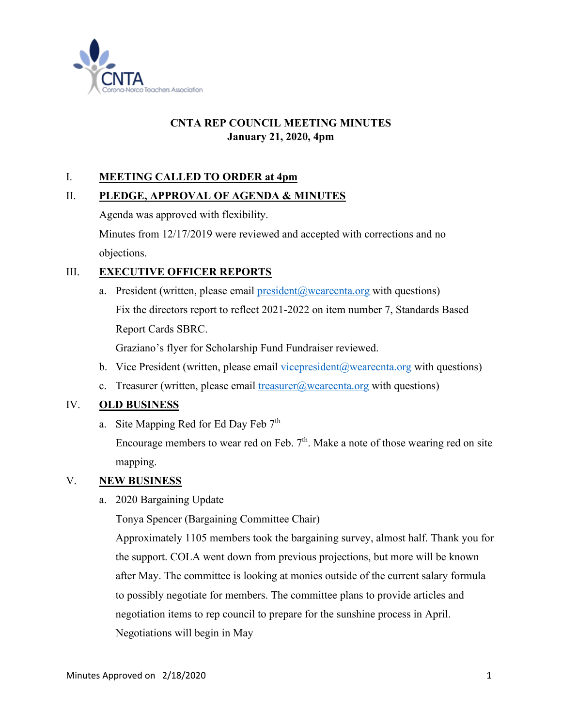

# **CNTA REP COUNCIL MEETING MINUTES January 21, 2020, 4pm**

## I. **MEETING CALLED TO ORDER at 4pm**

#### II. **PLEDGE, APPROVAL OF AGENDA & MINUTES**

Agenda was approved with flexibility.

Minutes from 12/17/2019 were reviewed and accepted with corrections and no objections.

## III. **EXECUTIVE OFFICER REPORTS**

a. President (written, please email  $president@wearecnta.org$  with questions) Fix the directors report to reflect 2021-2022 on item number 7, Standards Based Report Cards SBRC.

Graziano's flyer for Scholarship Fund Fundraiser reviewed.

- b. Vice President (written, please email vicepresident  $(a)$  wearecnta.org with questions)
- c. Treasurer (written, please email  $t$ reasurer@wearecnta.org with questions)

#### IV. **OLD BUSINESS**

a. Site Mapping Red for Ed Day Feb 7<sup>th</sup>

Encourage members to wear red on Feb.  $7<sup>th</sup>$ . Make a note of those wearing red on site mapping.

#### V. **NEW BUSINESS**

a. 2020 Bargaining Update

Tonya Spencer (Bargaining Committee Chair)

Approximately 1105 members took the bargaining survey, almost half. Thank you for the support. COLA went down from previous projections, but more will be known after May. The committee is looking at monies outside of the current salary formula to possibly negotiate for members. The committee plans to provide articles and negotiation items to rep council to prepare for the sunshine process in April. Negotiations will begin in May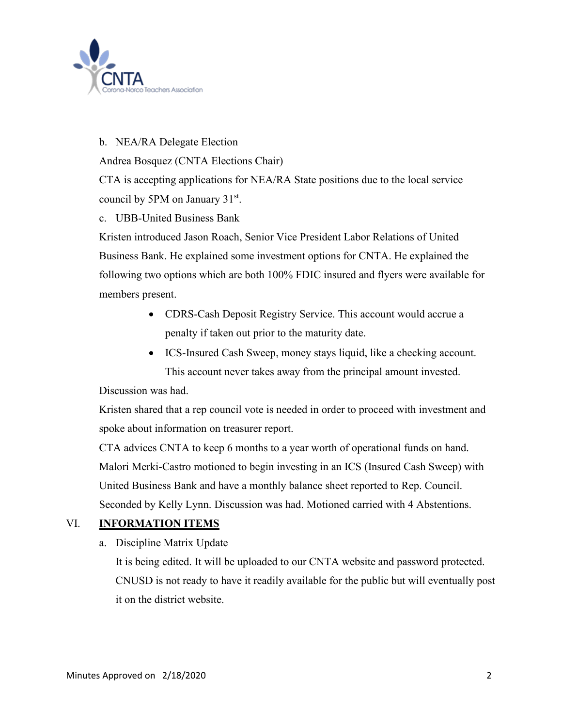

### b. NEA/RA Delegate Election

Andrea Bosquez (CNTA Elections Chair)

CTA is accepting applications for NEA/RA State positions due to the local service council by 5PM on January 31<sup>st</sup>.

#### c. UBB-United Business Bank

Kristen introduced Jason Roach, Senior Vice President Labor Relations of United Business Bank. He explained some investment options for CNTA. He explained the following two options which are both 100% FDIC insured and flyers were available for members present.

- CDRS-Cash Deposit Registry Service. This account would accrue a penalty if taken out prior to the maturity date.
- ICS-Insured Cash Sweep, money stays liquid, like a checking account. This account never takes away from the principal amount invested.

Discussion was had.

Kristen shared that a rep council vote is needed in order to proceed with investment and spoke about information on treasurer report.

CTA advices CNTA to keep 6 months to a year worth of operational funds on hand. Malori Merki-Castro motioned to begin investing in an ICS (Insured Cash Sweep) with United Business Bank and have a monthly balance sheet reported to Rep. Council. Seconded by Kelly Lynn. Discussion was had. Motioned carried with 4 Abstentions.

#### VI. **INFORMATION ITEMS**

a. Discipline Matrix Update

It is being edited. It will be uploaded to our CNTA website and password protected. CNUSD is not ready to have it readily available for the public but will eventually post it on the district website.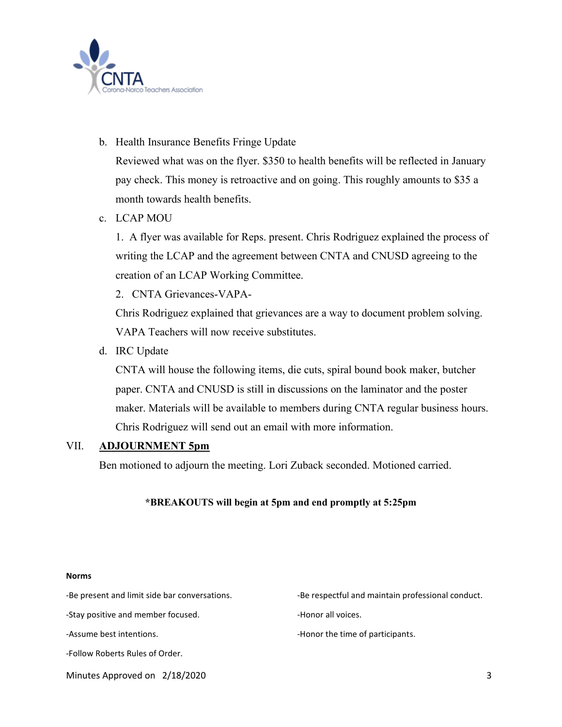

b. Health Insurance Benefits Fringe Update

Reviewed what was on the flyer. \$350 to health benefits will be reflected in January pay check. This money is retroactive and on going. This roughly amounts to \$35 a month towards health benefits.

c. LCAP MOU

1. A flyer was available for Reps. present. Chris Rodriguez explained the process of writing the LCAP and the agreement between CNTA and CNUSD agreeing to the creation of an LCAP Working Committee.

2. CNTA Grievances-VAPA-

Chris Rodriguez explained that grievances are a way to document problem solving. VAPA Teachers will now receive substitutes.

d. IRC Update

CNTA will house the following items, die cuts, spiral bound book maker, butcher paper. CNTA and CNUSD is still in discussions on the laminator and the poster maker. Materials will be available to members during CNTA regular business hours. Chris Rodriguez will send out an email with more information.

#### VII. **ADJOURNMENT 5pm**

Ben motioned to adjourn the meeting. Lori Zuback seconded. Motioned carried.

#### **\*BREAKOUTS will begin at 5pm and end promptly at 5:25pm**

Minutes Approved on 2/18/2020 3 **Norms** -Be present and limit side bar conversations.  $\qquad \qquad$ -Be respectful and maintain professional conduct. -Stay positive and member focused. The state of the Honor all voices. -Assume best intentions.  $\blacksquare$ -Follow Roberts Rules of Order.